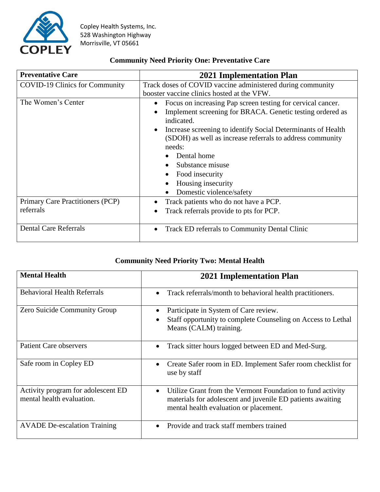

## **Community Need Priority One: Preventative Care**

| <b>Preventative Care</b>              | <b>2021 Implementation Plan</b>                                           |
|---------------------------------------|---------------------------------------------------------------------------|
| <b>COVID-19 Clinics for Community</b> | Track doses of COVID vaccine administered during community                |
|                                       | booster vaccine clinics hosted at the VFW.                                |
| The Women's Center                    | Focus on increasing Pap screen testing for cervical cancer.<br>$\bullet$  |
|                                       | Implement screening for BRACA. Genetic testing ordered as<br>indicated.   |
|                                       | Increase screening to identify Social Determinants of Health<br>$\bullet$ |
|                                       | (SDOH) as well as increase referrals to address community                 |
|                                       | needs:                                                                    |
|                                       | Dental home                                                               |
|                                       | Substance misuse                                                          |
|                                       | Food insecurity                                                           |
|                                       | Housing insecurity                                                        |
|                                       | Domestic violence/safety                                                  |
| Primary Care Practitioners (PCP)      | Track patients who do not have a PCP.                                     |
| referrals                             | Track referrals provide to pts for PCP.                                   |
| <b>Dental Care Referrals</b>          | Track ED referrals to Community Dental Clinic<br>$\bullet$                |

## **Community Need Priority Two: Mental Health**

| <b>Mental Health</b>                                            | <b>2021 Implementation Plan</b>                                                                                                                                                 |
|-----------------------------------------------------------------|---------------------------------------------------------------------------------------------------------------------------------------------------------------------------------|
| <b>Behavioral Health Referrals</b>                              | Track referrals/month to behavioral health practitioners.<br>$\bullet$                                                                                                          |
| <b>Zero Suicide Community Group</b>                             | Participate in System of Care review.<br>Staff opportunity to complete Counseling on Access to Lethal<br>Means (CALM) training.                                                 |
| <b>Patient Care observers</b>                                   | Track sitter hours logged between ED and Med-Surg.<br>$\bullet$                                                                                                                 |
| Safe room in Copley ED                                          | Create Safer room in ED. Implement Safer room checklist for<br>use by staff                                                                                                     |
| Activity program for adolescent ED<br>mental health evaluation. | Utilize Grant from the Vermont Foundation to fund activity<br>$\bullet$<br>materials for adolescent and juvenile ED patients awaiting<br>mental health evaluation or placement. |
| <b>AVADE</b> De-escalation Training                             | Provide and track staff members trained                                                                                                                                         |